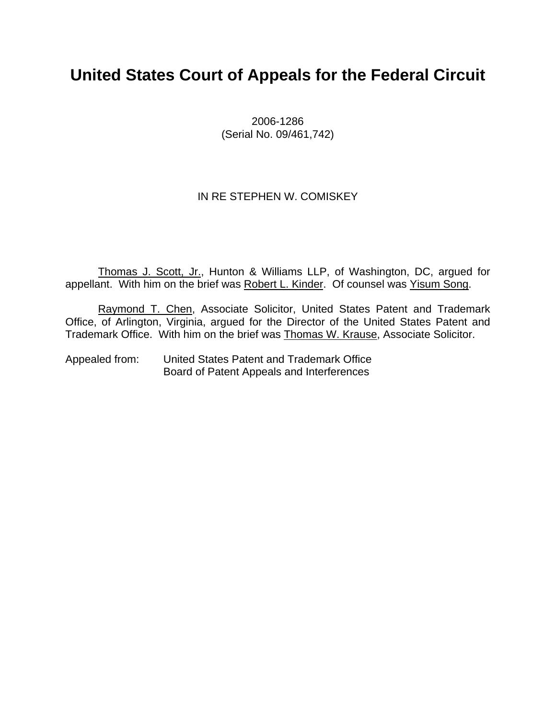# **United States Court of Appeals for the Federal Circuit**

2006-1286 (Serial No. 09/461,742)

### IN RE STEPHEN W. COMISKEY

Thomas J. Scott, Jr., Hunton & Williams LLP, of Washington, DC, argued for appellant. With him on the brief was Robert L. Kinder. Of counsel was Yisum Song.

Raymond T. Chen, Associate Solicitor, United States Patent and Trademark Office, of Arlington, Virginia, argued for the Director of the United States Patent and Trademark Office. With him on the brief was Thomas W. Krause, Associate Solicitor.

Appealed from: United States Patent and Trademark Office Board of Patent Appeals and Interferences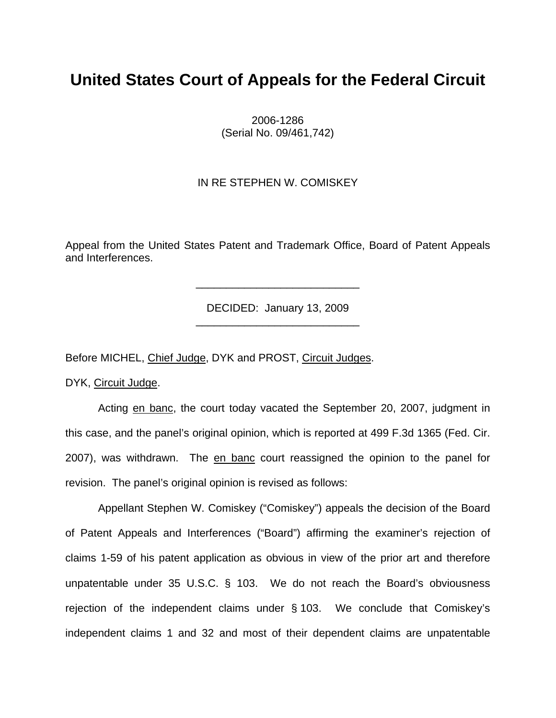# **United States Court of Appeals for the Federal Circuit**

2006-1286 (Serial No. 09/461,742)

#### IN RE STEPHEN W. COMISKEY

Appeal from the United States Patent and Trademark Office, Board of Patent Appeals and Interferences.

> DECIDED: January 13, 2009 \_\_\_\_\_\_\_\_\_\_\_\_\_\_\_\_\_\_\_\_\_\_\_\_\_\_\_

> \_\_\_\_\_\_\_\_\_\_\_\_\_\_\_\_\_\_\_\_\_\_\_\_\_\_\_

Before MICHEL, Chief Judge, DYK and PROST, Circuit Judges.

DYK, Circuit Judge.

 Acting en banc, the court today vacated the September 20, 2007, judgment in this case, and the panel's original opinion, which is reported at 499 F.3d 1365 (Fed. Cir. 2007), was withdrawn. The en banc court reassigned the opinion to the panel for revision. The panel's original opinion is revised as follows:

Appellant Stephen W. Comiskey ("Comiskey") appeals the decision of the Board of Patent Appeals and Interferences ("Board") affirming the examiner's rejection of claims 1-59 of his patent application as obvious in view of the prior art and therefore unpatentable under 35 U.S.C. § 103. We do not reach the Board's obviousness rejection of the independent claims under § 103. We conclude that Comiskey's independent claims 1 and 32 and most of their dependent claims are unpatentable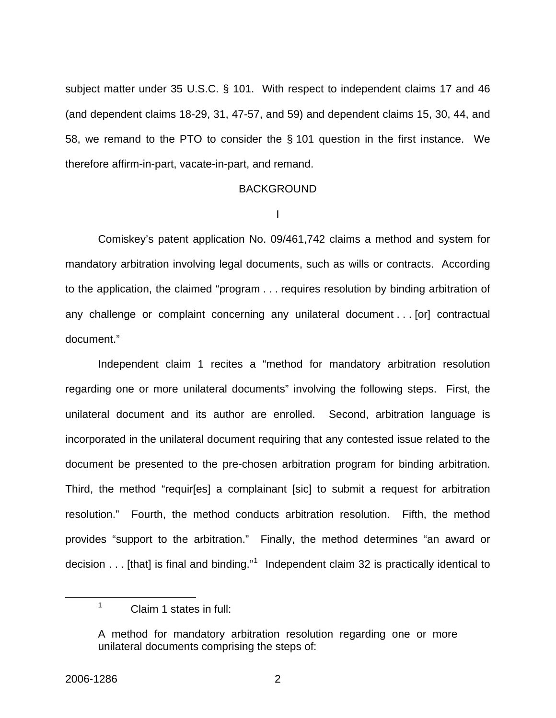subject matter under 35 U.S.C. § 101. With respect to independent claims 17 and 46 (and dependent claims 18-29, 31, 47-57, and 59) and dependent claims 15, 30, 44, and 58, we remand to the PTO to consider the § 101 question in the first instance. We therefore affirm-in-part, vacate-in-part, and remand.

#### BACKGROUND

I

 Comiskey's patent application No. 09/461,742 claims a method and system for mandatory arbitration involving legal documents, such as wills or contracts. According to the application, the claimed "program . . . requires resolution by binding arbitration of any challenge or complaint concerning any unilateral document . . . [or] contractual document."

 Independent claim 1 recites a "method for mandatory arbitration resolution regarding one or more unilateral documents" involving the following steps. First, the unilateral document and its author are enrolled. Second, arbitration language is incorporated in the unilateral document requiring that any contested issue related to the document be presented to the pre-chosen arbitration program for binding arbitration. Third, the method "requir[es] a complainant [sic] to submit a request for arbitration resolution." Fourth, the method conducts arbitration resolution. Fifth, the method provides "support to the arbitration." Finally, the method determines "an award or decision  $\dots$  [that] is final and binding."<sup>[1](#page-2-0)</sup> Independent claim 32 is practically identical to

<span id="page-2-0"></span><sup>1</sup> Claim 1 states in full:

A method for mandatory arbitration resolution regarding one or more unilateral documents comprising the steps of: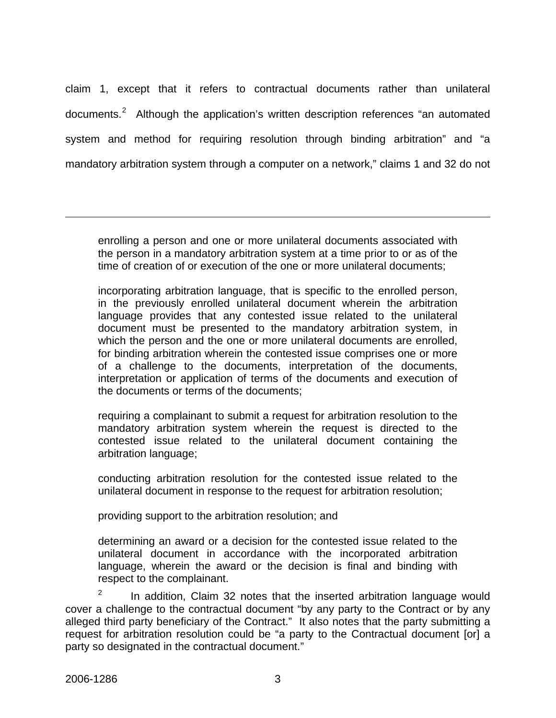claim 1, except that it refers to contractual documents rather than unilateral documents.<sup>[2](#page-3-0)</sup> Although the application's written description references "an automated system and method for requiring resolution through binding arbitration" and "a mandatory arbitration system through a computer on a network," claims 1 and 32 do not

enrolling a person and one or more unilateral documents associated with the person in a mandatory arbitration system at a time prior to or as of the time of creation of or execution of the one or more unilateral documents;

incorporating arbitration language, that is specific to the enrolled person, in the previously enrolled unilateral document wherein the arbitration language provides that any contested issue related to the unilateral document must be presented to the mandatory arbitration system, in which the person and the one or more unilateral documents are enrolled, for binding arbitration wherein the contested issue comprises one or more of a challenge to the documents, interpretation of the documents, interpretation or application of terms of the documents and execution of the documents or terms of the documents;

requiring a complainant to submit a request for arbitration resolution to the mandatory arbitration system wherein the request is directed to the contested issue related to the unilateral document containing the arbitration language;

conducting arbitration resolution for the contested issue related to the unilateral document in response to the request for arbitration resolution;

providing support to the arbitration resolution; and

determining an award or a decision for the contested issue related to the unilateral document in accordance with the incorporated arbitration language, wherein the award or the decision is final and binding with respect to the complainant.

<span id="page-3-0"></span>2 In addition, Claim 32 notes that the inserted arbitration language would cover a challenge to the contractual document "by any party to the Contract or by any alleged third party beneficiary of the Contract." It also notes that the party submitting a request for arbitration resolution could be "a party to the Contractual document [or] a party so designated in the contractual document."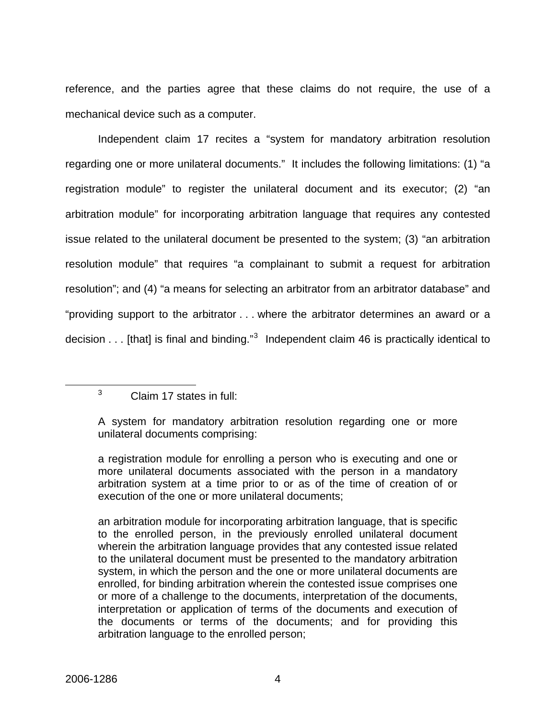mechanical device such as a computer. reference, and the parties agree that these claims do not require, the use of a

 Independent claim 17 recites a "system for mandatory arbitration resolution regarding one or more unilateral documents." It includes the following limitations: (1) "a registration module" to register the unilateral document and its executor; (2) "an arbitration module" for incorporating arbitration language that requires any contested issue related to the unilateral document be presented to the system; (3) "an arbitration resolution module" that requires "a complainant to submit a request for arbitration resolution"; and (4) "a means for selecting an arbitrator from an arbitrator database" and "providing support to the arbitrator . . . where the arbitrator determines an award or a decision  $\dots$  [that] is final and binding." $3$  Independent claim 46 is practically identical to

<span id="page-4-0"></span>3 Claim 17 states in full:

A system for mandatory arbitration resolution regarding one or more unilateral documents comprising:

a registration module for enrolling a person who is executing and one or more unilateral documents associated with the person in a mandatory arbitration system at a time prior to or as of the time of creation of or execution of the one or more unilateral documents;

an arbitration module for incorporating arbitration language, that is specific to the enrolled person, in the previously enrolled unilateral document wherein the arbitration language provides that any contested issue related to the unilateral document must be presented to the mandatory arbitration system, in which the person and the one or more unilateral documents are enrolled, for binding arbitration wherein the contested issue comprises one or more of a challenge to the documents, interpretation of the documents, interpretation or application of terms of the documents and execution of the documents or terms of the documents; and for providing this arbitration language to the enrolled person;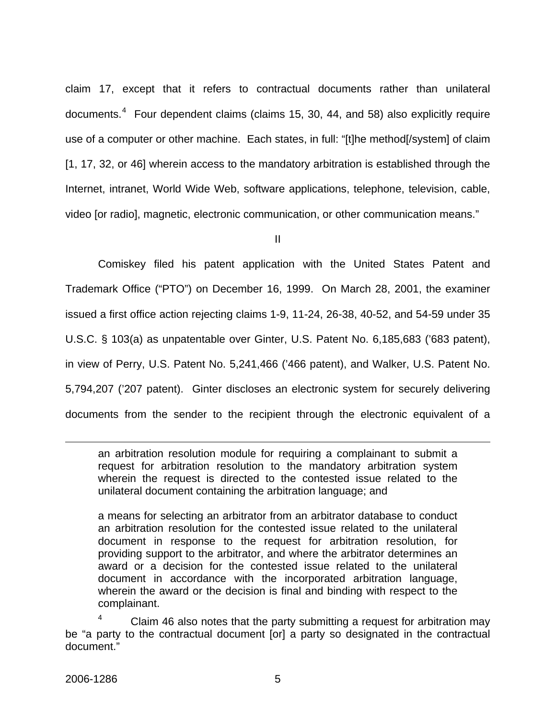claim 17, except that it refers to contractual documents rather than unilateral documents.<sup>[4](#page-5-0)</sup> Four dependent claims (claims 15, 30, 44, and 58) also explicitly require use of a computer or other machine. Each states, in full: "[t]he method[/system] of claim [1, 17, 32, or 46] wherein access to the mandatory arbitration is established through the Internet, intranet, World Wide Web, software applications, telephone, television, cable, video [or radio], magnetic, electronic communication, or other communication means."

II

 Comiskey filed his patent application with the United States Patent and Trademark Office ("PTO") on December 16, 1999. On March 28, 2001, the examiner issued a first office action rejecting claims 1-9, 11-24, 26-38, 40-52, and 54-59 under 35 U.S.C. § 103(a) as unpatentable over Ginter, U.S. Patent No. 6,185,683 ('683 patent), in view of Perry, U.S. Patent No. 5,241,466 ('466 patent), and Walker, U.S. Patent No. 5,794,207 ('207 patent). Ginter discloses an electronic system for securely delivering documents from the sender to the recipient through the electronic equivalent of a

an arbitration resolution module for requiring a complainant to submit a request for arbitration resolution to the mandatory arbitration system wherein the request is directed to the contested issue related to the unilateral document containing the arbitration language; and

a means for selecting an arbitrator from an arbitrator database to conduct an arbitration resolution for the contested issue related to the unilateral document in response to the request for arbitration resolution, for providing support to the arbitrator, and where the arbitrator determines an award or a decision for the contested issue related to the unilateral document in accordance with the incorporated arbitration language, wherein the award or the decision is final and binding with respect to the complainant.

<span id="page-5-0"></span>4 Claim 46 also notes that the party submitting a request for arbitration may be "a party to the contractual document [or] a party so designated in the contractual document."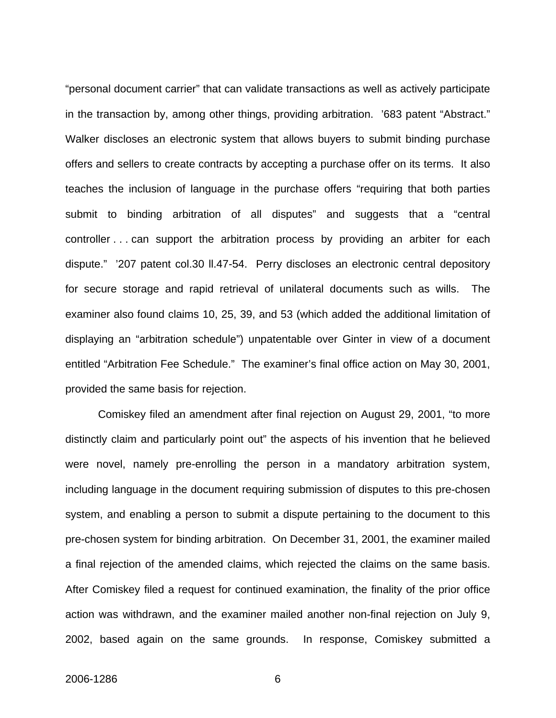"personal document carrier" that can validate transactions as well as actively participate in the transaction by, among other things, providing arbitration. '683 patent "Abstract." Walker discloses an electronic system that allows buyers to submit binding purchase offers and sellers to create contracts by accepting a purchase offer on its terms. It also teaches the inclusion of language in the purchase offers "requiring that both parties submit to binding arbitration of all disputes" and suggests that a "central controller . . . can support the arbitration process by providing an arbiter for each dispute." '207 patent col.30 ll.47-54. Perry discloses an electronic central depository for secure storage and rapid retrieval of unilateral documents such as wills. The examiner also found claims 10, 25, 39, and 53 (which added the additional limitation of displaying an "arbitration schedule") unpatentable over Ginter in view of a document entitled "Arbitration Fee Schedule." The examiner's final office action on May 30, 2001, provided the same basis for rejection.

Comiskey filed an amendment after final rejection on August 29, 2001, "to more distinctly claim and particularly point out" the aspects of his invention that he believed were novel, namely pre-enrolling the person in a mandatory arbitration system, including language in the document requiring submission of disputes to this pre-chosen system, and enabling a person to submit a dispute pertaining to the document to this pre-chosen system for binding arbitration. On December 31, 2001, the examiner mailed a final rejection of the amended claims, which rejected the claims on the same basis. After Comiskey filed a request for continued examination, the finality of the prior office action was withdrawn, and the examiner mailed another non-final rejection on July 9, 2002, based again on the same grounds. In response, Comiskey submitted a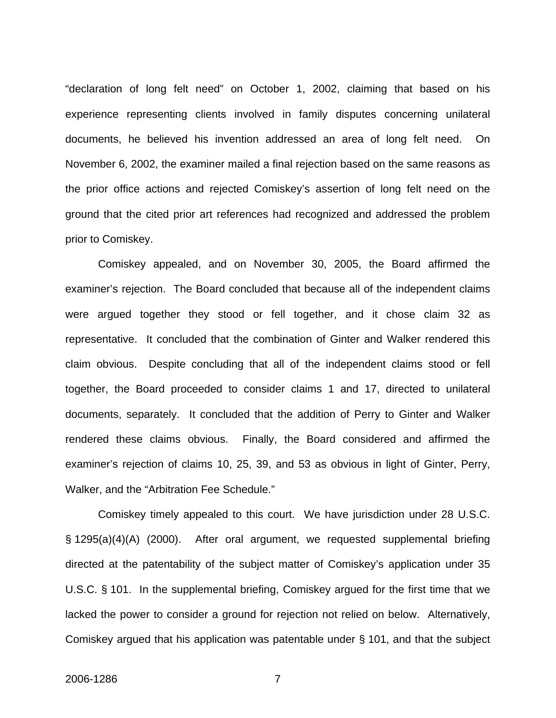"declaration of long felt need" on October 1, 2002, claiming that based on his experience representing clients involved in family disputes concerning unilateral documents, he believed his invention addressed an area of long felt need. On November 6, 2002, the examiner mailed a final rejection based on the same reasons as the prior office actions and rejected Comiskey's assertion of long felt need on the ground that the cited prior art references had recognized and addressed the problem prior to Comiskey.

 Comiskey appealed, and on November 30, 2005, the Board affirmed the examiner's rejection. The Board concluded that because all of the independent claims were argued together they stood or fell together, and it chose claim 32 as representative. It concluded that the combination of Ginter and Walker rendered this claim obvious. Despite concluding that all of the independent claims stood or fell together, the Board proceeded to consider claims 1 and 17, directed to unilateral documents, separately. It concluded that the addition of Perry to Ginter and Walker rendered these claims obvious. Finally, the Board considered and affirmed the examiner's rejection of claims 10, 25, 39, and 53 as obvious in light of Ginter, Perry, Walker, and the "Arbitration Fee Schedule."

 Comiskey timely appealed to this court. We have jurisdiction under 28 U.S.C. § 1295(a)(4)(A) (2000). After oral argument, we requested supplemental briefing directed at the patentability of the subject matter of Comiskey's application under 35 U.S.C. § 101. In the supplemental briefing, Comiskey argued for the first time that we lacked the power to consider a ground for rejection not relied on below. Alternatively, Comiskey argued that his application was patentable under § 101, and that the subject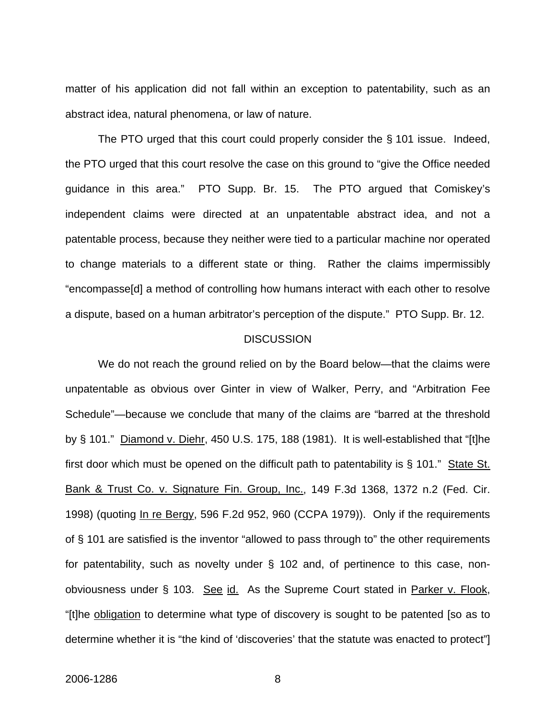matter of his application did not fall within an exception to patentability, such as an abstract idea, natural phenomena, or law of nature.

 The PTO urged that this court could properly consider the § 101 issue. Indeed, the PTO urged that this court resolve the case on this ground to "give the Office needed guidance in this area." PTO Supp. Br. 15. The PTO argued that Comiskey's independent claims were directed at an unpatentable abstract idea, and not a patentable process, because they neither were tied to a particular machine nor operated to change materials to a different state or thing. Rather the claims impermissibly "encompasse[d] a method of controlling how humans interact with each other to resolve a dispute, based on a human arbitrator's perception of the dispute." PTO Supp. Br. 12.

#### **DISCUSSION**

We do not reach the ground relied on by the Board below—that the claims were unpatentable as obvious over Ginter in view of Walker, Perry, and "Arbitration Fee Schedule"—because we conclude that many of the claims are "barred at the threshold by § 101." Diamond v. Diehr, 450 U.S. 175, 188 (1981). It is well-established that "[t]he first door which must be opened on the difficult path to patentability is § 101." State St. Bank & Trust Co. v. Signature Fin. Group, Inc., 149 F.3d 1368, 1372 n.2 (Fed. Cir. 1998) (quoting In re Bergy, 596 F.2d 952, 960 (CCPA 1979)). Only if the requirements of § 101 are satisfied is the inventor "allowed to pass through to" the other requirements for patentability, such as novelty under § 102 and, of pertinence to this case, nonobviousness under § 103. See id. As the Supreme Court stated in Parker v. Flook, "[t]he obligation to determine what type of discovery is sought to be patented [so as to determine whether it is "the kind of 'discoveries' that the statute was enacted to protect"]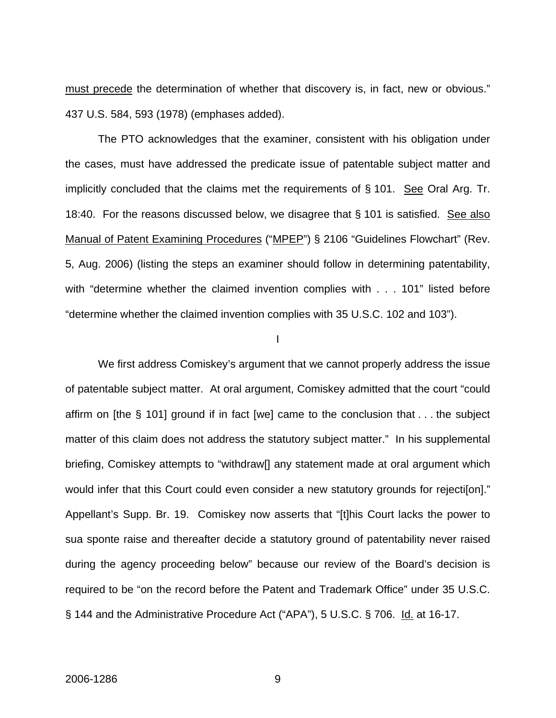must precede the determination of whether that discovery is, in fact, new or obvious." 437 U.S. 584, 593 (1978) (emphases added).

The PTO acknowledges that the examiner, consistent with his obligation under the cases, must have addressed the predicate issue of patentable subject matter and implicitly concluded that the claims met the requirements of  $\S$  101. See Oral Arg. Tr. 18:40. For the reasons discussed below, we disagree that § 101 is satisfied. See also Manual of Patent Examining Procedures ("MPEP") § 2106 "Guidelines Flowchart" (Rev. 5, Aug. 2006) (listing the steps an examiner should follow in determining patentability, with "determine whether the claimed invention complies with . . . 101" listed before "determine whether the claimed invention complies with 35 U.S.C. 102 and 103").

I

 We first address Comiskey's argument that we cannot properly address the issue of patentable subject matter. At oral argument, Comiskey admitted that the court "could affirm on [the § 101] ground if in fact [we] came to the conclusion that . . . the subject matter of this claim does not address the statutory subject matter." In his supplemental briefing, Comiskey attempts to "withdraw[] any statement made at oral argument which would infer that this Court could even consider a new statutory grounds for rejection." Appellant's Supp. Br. 19. Comiskey now asserts that "[t]his Court lacks the power to sua sponte raise and thereafter decide a statutory ground of patentability never raised during the agency proceeding below" because our review of the Board's decision is required to be "on the record before the Patent and Trademark Office" under 35 U.S.C. § 144 and the Administrative Procedure Act ("APA"), 5 U.S.C. § 706. Id. at 16-17.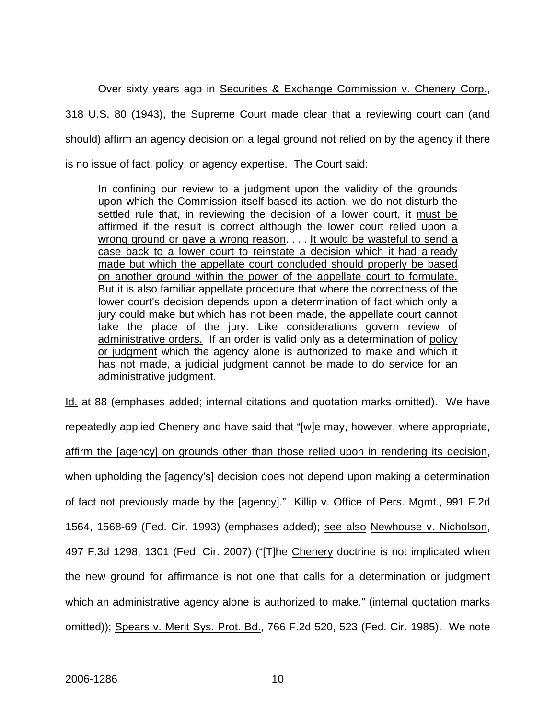Over sixty years ago in Securities & Exchange Commission v. Chenery Corp., 318 U.S. 80 (1943), the Supreme Court made clear that a reviewing court can (and should) affirm an agency decision on a legal ground not relied on by the agency if there is no issue of fact, policy, or agency expertise. The Court said:

In confining our review to a judgment upon the validity of the grounds upon which the Commission itself based its action, we do not disturb the settled rule that, in reviewing the decision of a lower court, it must be affirmed if the result is correct although the lower court relied upon a wrong ground or gave a wrong reason. . . . It would be wasteful to send a case back to a lower court to reinstate a decision which it had already made but which the appellate court concluded should properly be based on another ground within the power of the appellate court to formulate. But it is also familiar appellate procedure that where the correctness of the lower court's decision depends upon a determination of fact which only a jury could make but which has not been made, the appellate court cannot take the place of the jury. Like considerations govern review of administrative orders. If an order is valid only as a determination of policy or judgment which the agency alone is authorized to make and which it has not made, a judicial judgment cannot be made to do service for an administrative judgment.

Id. at 88 (emphases added; internal citations and quotation marks omitted). We have repeatedly applied Chenery and have said that "[w]e may, however, where appropriate, affirm the [agency] on grounds other than those relied upon in rendering its decision, when upholding the [agency's] decision does not depend upon making a determination of fact not previously made by the [agency]." Killip v. Office of Pers. Mgmt., 991 F.2d 1564, 1568-69 (Fed. Cir. 1993) (emphases added); see also Newhouse v. Nicholson, 497 F.3d 1298, 1301 (Fed. Cir. 2007) ("[T]he Chenery doctrine is not implicated when the new ground for affirmance is not one that calls for a determination or judgment which an administrative agency alone is authorized to make." (internal quotation marks omitted)); Spears v. Merit Sys. Prot. Bd., 766 F.2d 520, 523 (Fed. Cir. 1985). We note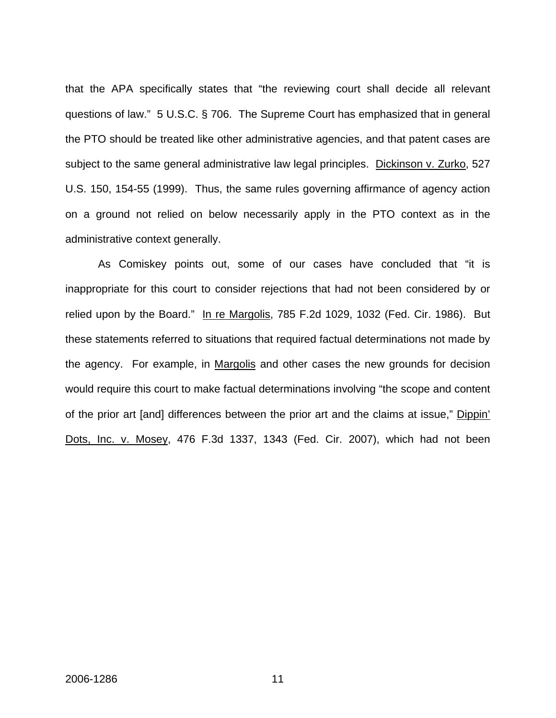that the APA specifically states that "the reviewing court shall decide all relevant questions of law." 5 U.S.C. § 706. The Supreme Court has emphasized that in general the PTO should be treated like other administrative agencies, and that patent cases are subject to the same general administrative law legal principles. Dickinson v. Zurko, 527 U.S. 150, 154-55 (1999). Thus, the same rules governing affirmance of agency action on a ground not relied on below necessarily apply in the PTO context as in the administrative context generally.

As Comiskey points out, some of our cases have concluded that "it is inappropriate for this court to consider rejections that had not been considered by or relied upon by the Board." In re Margolis, 785 F.2d 1029, 1032 (Fed. Cir. 1986). But these statements referred to situations that required factual determinations not made by the agency. For example, in Margolis and other cases the new grounds for decision would require this court to make factual determinations involving "the scope and content of the prior art [and] differences between the prior art and the claims at issue," Dippin' Dots, Inc. v. Mosey, 476 F.3d 1337, 1343 (Fed. Cir. 2007), which had not been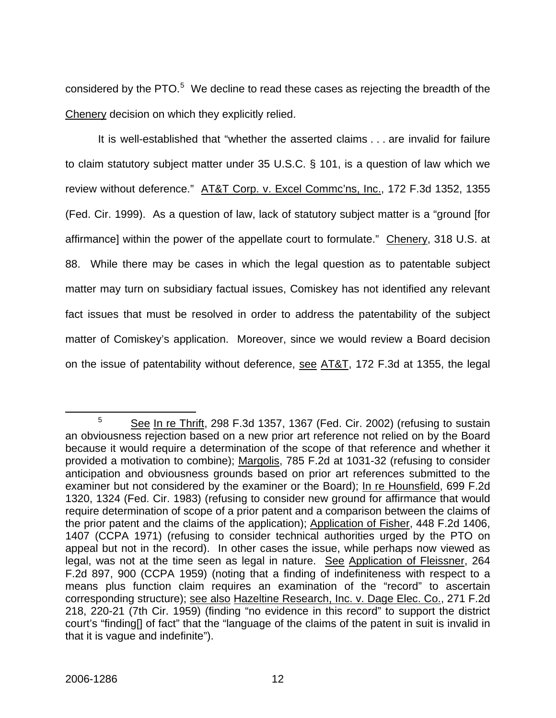considered by the PTO. $5$  We decline to read these cases as rejecting the breadth of the Chenery decision on which they explicitly relied.

It is well-established that "whether the asserted claims . . . are invalid for failure to claim statutory subject matter under 35 U.S.C. § 101, is a question of law which we review without deference." AT&T Corp. v. Excel Commc'ns, Inc., 172 F.3d 1352, 1355 (Fed. Cir. 1999). As a question of law, lack of statutory subject matter is a "ground [for affirmance] within the power of the appellate court to formulate." Chenery, 318 U.S. at 88. While there may be cases in which the legal question as to patentable subject matter may turn on subsidiary factual issues, Comiskey has not identified any relevant fact issues that must be resolved in order to address the patentability of the subject matter of Comiskey's application. Moreover, since we would review a Board decision on the issue of patentability without deference, see AT&T, 172 F.3d at 1355, the legal

<span id="page-12-0"></span> $\frac{1}{5}$  $5$  See In re Thrift, 298 F.3d 1357, 1367 (Fed. Cir. 2002) (refusing to sustain an obviousness rejection based on a new prior art reference not relied on by the Board because it would require a determination of the scope of that reference and whether it provided a motivation to combine); Margolis, 785 F.2d at 1031-32 (refusing to consider anticipation and obviousness grounds based on prior art references submitted to the examiner but not considered by the examiner or the Board); In re Hounsfield, 699 F.2d 1320, 1324 (Fed. Cir. 1983) (refusing to consider new ground for affirmance that would require determination of scope of a prior patent and a comparison between the claims of the prior patent and the claims of the application); Application of Fisher, 448 F.2d 1406, 1407 (CCPA 1971) (refusing to consider technical authorities urged by the PTO on appeal but not in the record). In other cases the issue, while perhaps now viewed as legal, was not at the time seen as legal in nature. See Application of Fleissner, 264 F.2d 897, 900 (CCPA 1959) (noting that a finding of indefiniteness with respect to a means plus function claim requires an examination of the "record" to ascertain corresponding structure); see also Hazeltine Research, Inc. v. Dage Elec. Co., 271 F.2d 218, 220-21 (7th Cir. 1959) (finding "no evidence in this record" to support the district court's "finding[] of fact" that the "language of the claims of the patent in suit is invalid in that it is vague and indefinite").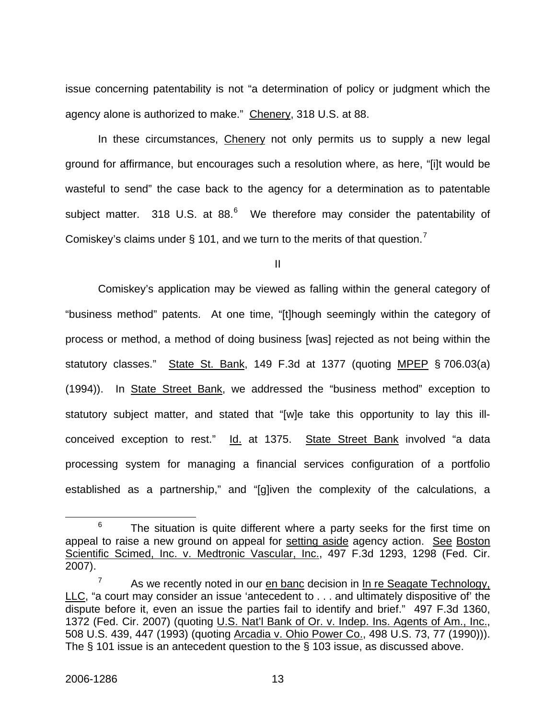issue concerning patentability is not "a determination of policy or judgment which the agency alone is authorized to make." Chenery, 318 U.S. at 88.

In these circumstances, Chenery not only permits us to supply a new legal ground for affirmance, but encourages such a resolution where, as here, "[i]t would be wasteful to send" the case back to the agency for a determination as to patentable subject matter. 318 U.S. at 88. $^6$  $^6$  We therefore may consider the patentability of Comiskey's claims under § 101, and we turn to the merits of that question.<sup>[7](#page-13-1)</sup>

II

 Comiskey's application may be viewed as falling within the general category of "business method" patents. At one time, "[t]hough seemingly within the category of process or method, a method of doing business [was] rejected as not being within the statutory classes." State St. Bank, 149 F.3d at 1377 (quoting MPEP § 706.03(a) (1994)). In State Street Bank, we addressed the "business method" exception to statutory subject matter, and stated that "[w]e take this opportunity to lay this illconceived exception to rest." Id. at 1375. State Street Bank involved "a data processing system for managing a financial services configuration of a portfolio established as a partnership," and "[g]iven the complexity of the calculations, a

<span id="page-13-0"></span> <sup>6</sup>  $6$  The situation is quite different where a party seeks for the first time on appeal to raise a new ground on appeal for setting aside agency action. See Boston Scientific Scimed, Inc. v. Medtronic Vascular, Inc., 497 F.3d 1293, 1298 (Fed. Cir. 2007).

<span id="page-13-1"></span><sup>7</sup> As we recently noted in our en banc decision in In re Seagate Technology, LLC, "a court may consider an issue 'antecedent to . . . and ultimately dispositive of' the dispute before it, even an issue the parties fail to identify and brief." 497 F.3d 1360, 1372 (Fed. Cir. 2007) (quoting U.S. Nat'l Bank of Or. v. Indep. Ins. Agents of Am., Inc., 508 U.S. 439, 447 (1993) (quoting Arcadia v. Ohio Power Co., 498 U.S. 73, 77 (1990))). The § 101 issue is an antecedent question to the § 103 issue, as discussed above.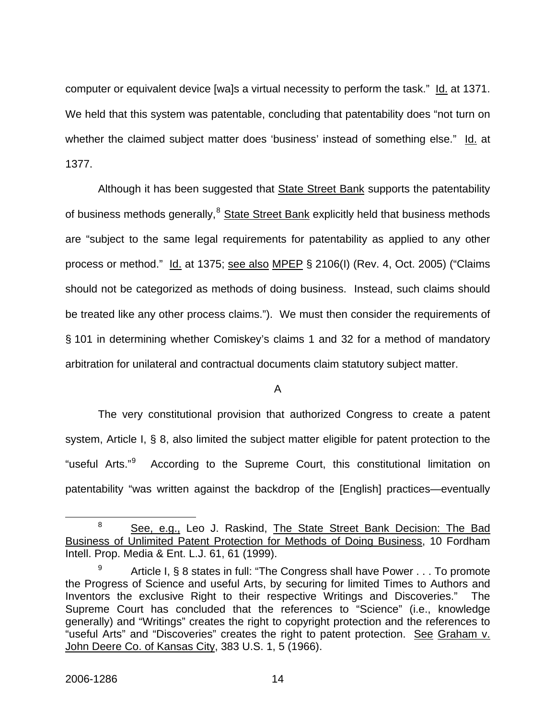computer or equivalent device [wa]s a virtual necessity to perform the task." Id. at 1371. We held that this system was patentable, concluding that patentability does "not turn on whether the claimed subject matter does 'business' instead of something else." Id. at 1377.

Although it has been suggested that **State Street Bank** supports the patentability of business methods generally, <sup>[8](#page-14-0)</sup> State Street Bank explicitly held that business methods are "subject to the same legal requirements for patentability as applied to any other process or method." Id. at 1375; see also MPEP § 2106(I) (Rev. 4, Oct. 2005) ("Claims should not be categorized as methods of doing business. Instead, such claims should be treated like any other process claims."). We must then consider the requirements of § 101 in determining whether Comiskey's claims 1 and 32 for a method of mandatory arbitration for unilateral and contractual documents claim statutory subject matter.

### A

The very constitutional provision that authorized Congress to create a patent system, Article I, § 8, also limited the subject matter eligible for patent protection to the "useful Arts."[9](#page-14-1) According to the Supreme Court, this constitutional limitation on patentability "was written against the backdrop of the [English] practices—eventually

<span id="page-14-0"></span> <sup>8</sup> <sup>8</sup> See, e.g., Leo J. Raskind, The State Street Bank Decision: The Bad Business of Unlimited Patent Protection for Methods of Doing Business, 10 Fordham Intell. Prop. Media & Ent. L.J. 61, 61 (1999).

<span id="page-14-1"></span><sup>9</sup> Article I, § 8 states in full: "The Congress shall have Power . . . To promote the Progress of Science and useful Arts, by securing for limited Times to Authors and Inventors the exclusive Right to their respective Writings and Discoveries." The Supreme Court has concluded that the references to "Science" (i.e., knowledge generally) and "Writings" creates the right to copyright protection and the references to "useful Arts" and "Discoveries" creates the right to patent protection. See Graham v. John Deere Co. of Kansas City, 383 U.S. 1, 5 (1966).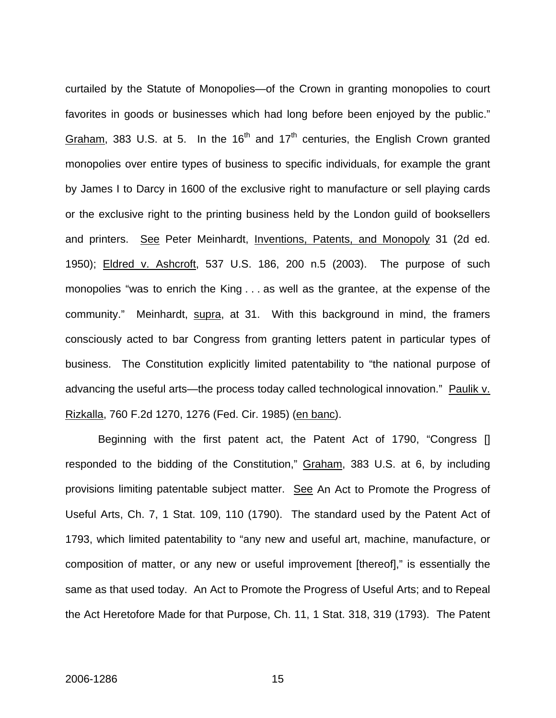curtailed by the Statute of Monopolies—of the Crown in granting monopolies to court favorites in goods or businesses which had long before been enjoyed by the public." Graham, 383 U.S. at 5. In the  $16<sup>th</sup>$  and  $17<sup>th</sup>$  centuries, the English Crown granted monopolies over entire types of business to specific individuals, for example the grant by James I to Darcy in 1600 of the exclusive right to manufacture or sell playing cards or the exclusive right to the printing business held by the London guild of booksellers and printers. See Peter Meinhardt, Inventions, Patents, and Monopoly 31 (2d ed. 1950); Eldred v. Ashcroft, 537 U.S. 186, 200 n.5 (2003). The purpose of such monopolies "was to enrich the King . . . as well as the grantee, at the expense of the community." Meinhardt, supra, at 31. With this background in mind, the framers consciously acted to bar Congress from granting letters patent in particular types of business. The Constitution explicitly limited patentability to "the national purpose of advancing the useful arts—the process today called technological innovation." Paulik v. Rizkalla, 760 F.2d 1270, 1276 (Fed. Cir. 1985) (en banc).

Beginning with the first patent act, the Patent Act of 1790, "Congress [] responded to the bidding of the Constitution," Graham, 383 U.S. at 6, by including provisions limiting patentable subject matter. See An Act to Promote the Progress of Useful Arts, Ch. 7, 1 Stat. 109, 110 (1790). The standard used by the Patent Act of 1793, which limited patentability to "any new and useful art, machine, manufacture, or composition of matter, or any new or useful improvement [thereof]," is essentially the same as that used today. An Act to Promote the Progress of Useful Arts; and to Repeal the Act Heretofore Made for that Purpose, Ch. 11, 1 Stat. 318, 319 (1793). The Patent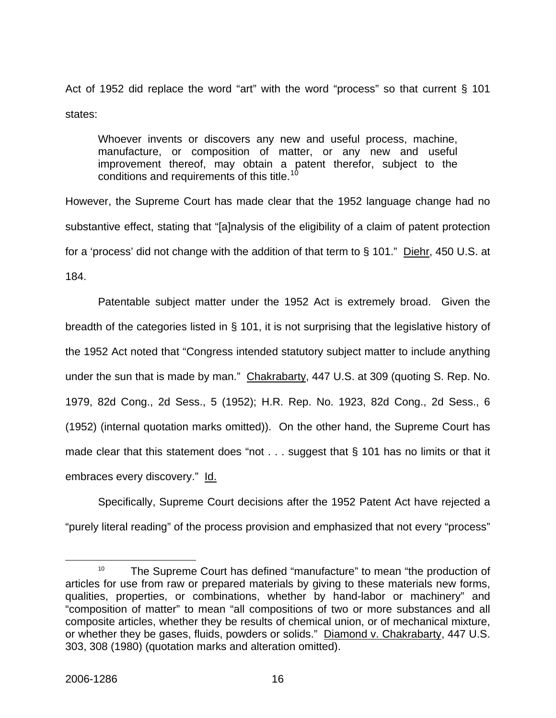Act of 1952 did replace the word "art" with the word "process" so that current § 101 states:

Whoever invents or discovers any new and useful process, machine, manufacture, or composition of matter, or any new and useful improvement thereof, may obtain a patent therefor, subject to the conditions and requirements of this title.<sup>[10](#page-16-0)</sup>

However, the Supreme Court has made clear that the 1952 language change had no substantive effect, stating that "[a]nalysis of the eligibility of a claim of patent protection for a 'process' did not change with the addition of that term to § 101." Diehr, 450 U.S. at 184.

 Patentable subject matter under the 1952 Act is extremely broad. Given the breadth of the categories listed in § 101, it is not surprising that the legislative history of the 1952 Act noted that "Congress intended statutory subject matter to include anything under the sun that is made by man." Chakrabarty, 447 U.S. at 309 (quoting S. Rep. No. 1979, 82d Cong., 2d Sess., 5 (1952); H.R. Rep. No. 1923, 82d Cong., 2d Sess., 6 (1952) (internal quotation marks omitted)). On the other hand, the Supreme Court has made clear that this statement does "not . . . suggest that § 101 has no limits or that it embraces every discovery." Id.

Specifically, Supreme Court decisions after the 1952 Patent Act have rejected a "purely literal reading" of the process provision and emphasized that not every "process"

<span id="page-16-0"></span><sup>&</sup>lt;sup>10</sup> The Supreme Court has defined "manufacture" to mean "the production of articles for use from raw or prepared materials by giving to these materials new forms, qualities, properties, or combinations, whether by hand-labor or machinery" and "composition of matter" to mean "all compositions of two or more substances and all composite articles, whether they be results of chemical union, or of mechanical mixture, or whether they be gases, fluids, powders or solids." Diamond v. Chakrabarty, 447 U.S. 303, 308 (1980) (quotation marks and alteration omitted).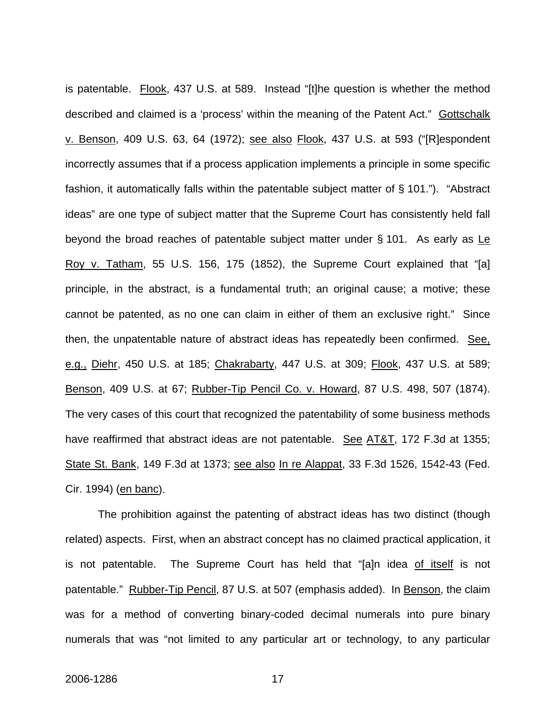is patentable. Flook, 437 U.S. at 589. Instead "[t]he question is whether the method described and claimed is a 'process' within the meaning of the Patent Act." Gottschalk v. Benson, 409 U.S. 63, 64 (1972); see also Flook, 437 U.S. at 593 ("[R]espondent incorrectly assumes that if a process application implements a principle in some specific fashion, it automatically falls within the patentable subject matter of § 101."). "Abstract ideas" are one type of subject matter that the Supreme Court has consistently held fall beyond the broad reaches of patentable subject matter under § 101. As early as Le Roy v. Tatham, 55 U.S. 156, 175 (1852), the Supreme Court explained that "[a] principle, in the abstract, is a fundamental truth; an original cause; a motive; these cannot be patented, as no one can claim in either of them an exclusive right." Since then, the unpatentable nature of abstract ideas has repeatedly been confirmed. See, e.g., Diehr, 450 U.S. at 185; Chakrabarty, 447 U.S. at 309; Flook, 437 U.S. at 589; Benson, 409 U.S. at 67; Rubber-Tip Pencil Co. v. Howard, 87 U.S. 498, 507 (1874). The very cases of this court that recognized the patentability of some business methods have reaffirmed that abstract ideas are not patentable. See AT&T, 172 F.3d at 1355; State St. Bank, 149 F.3d at 1373; see also In re Alappat, 33 F.3d 1526, 1542-43 (Fed. Cir. 1994) (en banc).

The prohibition against the patenting of abstract ideas has two distinct (though related) aspects. First, when an abstract concept has no claimed practical application, it is not patentable. The Supreme Court has held that "[a]n idea of itself is not patentable." Rubber-Tip Pencil, 87 U.S. at 507 (emphasis added). In Benson, the claim was for a method of converting binary-coded decimal numerals into pure binary numerals that was "not limited to any particular art or technology, to any particular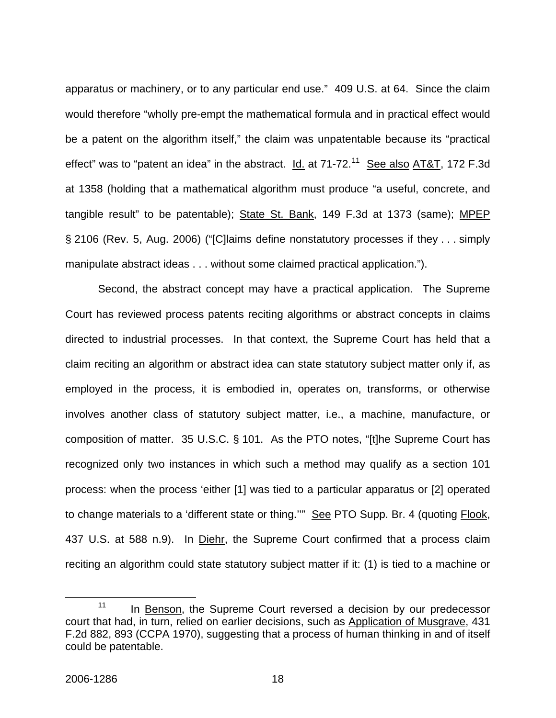apparatus or machinery, or to any particular end use." 409 U.S. at 64. Since the claim would therefore "wholly pre-empt the mathematical formula and in practical effect would be a patent on the algorithm itself," the claim was unpatentable because its "practical effect" was to "patent an idea" in the abstract.  $\underline{Id}$  at 71-72.<sup>[11](#page-18-0)</sup> See also AT&T, 172 F.3d at 1358 (holding that a mathematical algorithm must produce "a useful, concrete, and tangible result" to be patentable); State St. Bank, 149 F.3d at 1373 (same); MPEP § 2106 (Rev. 5, Aug. 2006) ("[C]laims define nonstatutory processes if they . . . simply manipulate abstract ideas . . . without some claimed practical application.").

Second, the abstract concept may have a practical application. The Supreme Court has reviewed process patents reciting algorithms or abstract concepts in claims directed to industrial processes. In that context, the Supreme Court has held that a claim reciting an algorithm or abstract idea can state statutory subject matter only if, as employed in the process, it is embodied in, operates on, transforms, or otherwise involves another class of statutory subject matter, i.e., a machine, manufacture, or composition of matter. 35 U.S.C. § 101. As the PTO notes, "[t]he Supreme Court has recognized only two instances in which such a method may qualify as a section 101 process: when the process 'either [1] was tied to a particular apparatus or [2] operated to change materials to a 'different state or thing.'" See PTO Supp. Br. 4 (quoting Flook, 437 U.S. at 588 n.9). In Diehr, the Supreme Court confirmed that a process claim reciting an algorithm could state statutory subject matter if it: (1) is tied to a machine or

<span id="page-18-0"></span> $11$  In Benson, the Supreme Court reversed a decision by our predecessor court that had, in turn, relied on earlier decisions, such as Application of Musgrave, 431 F.2d 882, 893 (CCPA 1970), suggesting that a process of human thinking in and of itself could be patentable.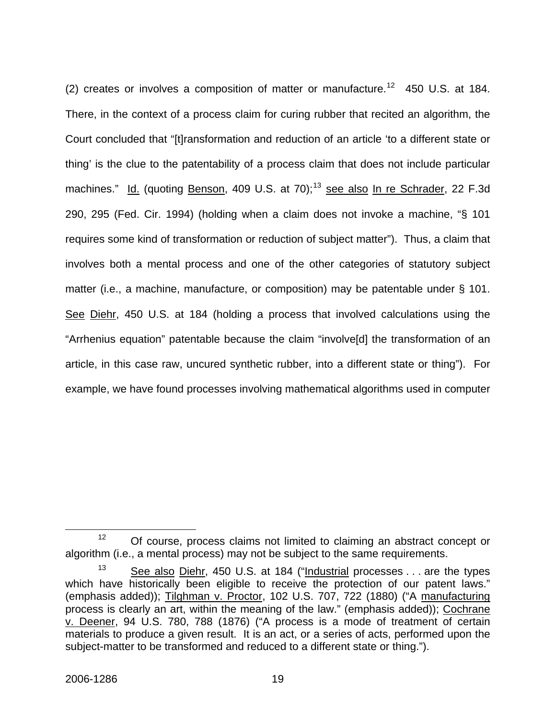(2) creates or involves a composition of matter or manufacture.<sup>[12](#page-19-0)</sup> 450 U.S. at 184. There, in the context of a process claim for curing rubber that recited an algorithm, the Court concluded that "[t]ransformation and reduction of an article 'to a different state or thing' is the clue to the patentability of a process claim that does not include particular machines." Id. (quoting Benson, 409 U.S. at 70);<sup>[13](#page-19-1)</sup> see also In re Schrader, 22 F.3d 290, 295 (Fed. Cir. 1994) (holding when a claim does not invoke a machine, "§ 101 requires some kind of transformation or reduction of subject matter"). Thus, a claim that involves both a mental process and one of the other categories of statutory subject matter (i.e., a machine, manufacture, or composition) may be patentable under § 101. See Diehr, 450 U.S. at 184 (holding a process that involved calculations using the "Arrhenius equation" patentable because the claim "involve[d] the transformation of an article, in this case raw, uncured synthetic rubber, into a different state or thing"). For example, we have found processes involving mathematical algorithms used in computer

<span id="page-19-0"></span><sup>&</sup>lt;sup>12</sup> Of course, process claims not limited to claiming an abstract concept or algorithm (i.e., a mental process) may not be subject to the same requirements.

<span id="page-19-1"></span><sup>&</sup>lt;sup>13</sup> See also Diehr, 450 U.S. at 184 ("Industrial processes . . . are the types which have historically been eligible to receive the protection of our patent laws." (emphasis added)); Tilghman v. Proctor, 102 U.S. 707, 722 (1880) ("A manufacturing process is clearly an art, within the meaning of the law." (emphasis added)); Cochrane v. Deener, 94 U.S. 780, 788 (1876) ("A process is a mode of treatment of certain materials to produce a given result. It is an act, or a series of acts, performed upon the subject-matter to be transformed and reduced to a different state or thing.").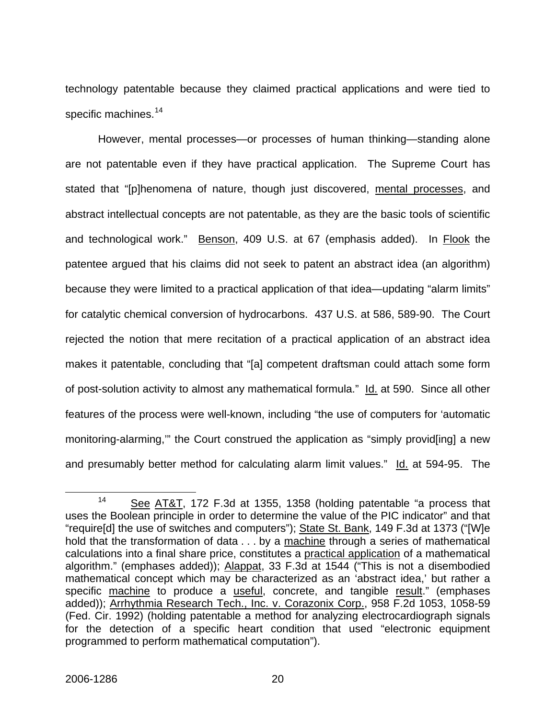technology patentable because they claimed practical applications and were tied to specific machines.<sup>[14](#page-20-0)</sup>

However, mental processes—or processes of human thinking—standing alone are not patentable even if they have practical application. The Supreme Court has stated that "[p]henomena of nature, though just discovered, mental processes, and abstract intellectual concepts are not patentable, as they are the basic tools of scientific and technological work." Benson, 409 U.S. at 67 (emphasis added). In Flook the patentee argued that his claims did not seek to patent an abstract idea (an algorithm) because they were limited to a practical application of that idea—updating "alarm limits" for catalytic chemical conversion of hydrocarbons. 437 U.S. at 586, 589-90. The Court rejected the notion that mere recitation of a practical application of an abstract idea makes it patentable, concluding that "[a] competent draftsman could attach some form of post-solution activity to almost any mathematical formula." Id. at 590. Since all other features of the process were well-known, including "the use of computers for 'automatic monitoring-alarming," the Court construed the application as "simply provideing a new and presumably better method for calculating alarm limit values." Id. at 594-95. The

<span id="page-20-0"></span><sup>&</sup>lt;sup>14</sup> See AT&T, 172 F.3d at 1355, 1358 (holding patentable "a process that uses the Boolean principle in order to determine the value of the PIC indicator" and that "require[d] the use of switches and computers"); State St. Bank, 149 F.3d at 1373 ("[W]e hold that the transformation of data . . . by a machine through a series of mathematical calculations into a final share price, constitutes a practical application of a mathematical algorithm." (emphases added)); Alappat, 33 F.3d at 1544 ("This is not a disembodied mathematical concept which may be characterized as an 'abstract idea,' but rather a specific machine to produce a useful, concrete, and tangible result." (emphases added)); Arrhythmia Research Tech., Inc. v. Corazonix Corp., 958 F.2d 1053, 1058-59 (Fed. Cir. 1992) (holding patentable a method for analyzing electrocardiograph signals for the detection of a specific heart condition that used "electronic equipment programmed to perform mathematical computation").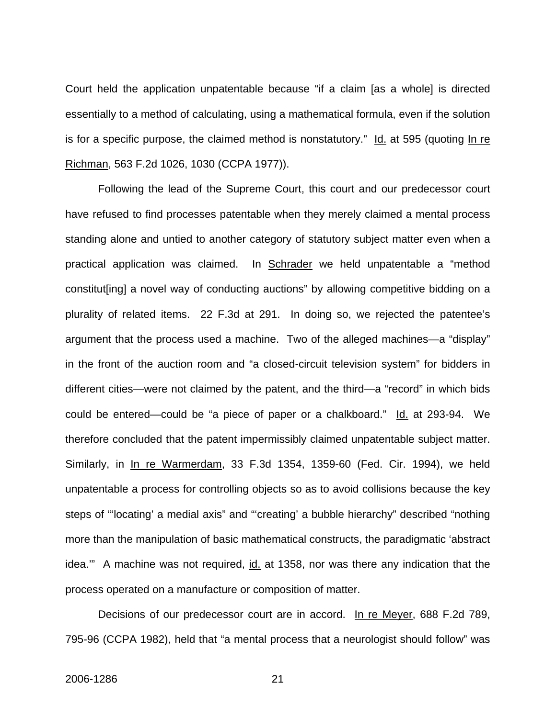Court held the application unpatentable because "if a claim [as a whole] is directed essentially to a method of calculating, using a mathematical formula, even if the solution is for a specific purpose, the claimed method is nonstatutory."  $\text{Id.}$  at 595 (quoting  $\text{In}$  re Richman, 563 F.2d 1026, 1030 (CCPA 1977)).

Following the lead of the Supreme Court, this court and our predecessor court have refused to find processes patentable when they merely claimed a mental process standing alone and untied to another category of statutory subject matter even when a practical application was claimed. In Schrader we held unpatentable a "method constitut[ing] a novel way of conducting auctions" by allowing competitive bidding on a plurality of related items. 22 F.3d at 291. In doing so, we rejected the patentee's argument that the process used a machine. Two of the alleged machines—a "display" in the front of the auction room and "a closed-circuit television system" for bidders in different cities—were not claimed by the patent, and the third—a "record" in which bids could be entered—could be "a piece of paper or a chalkboard." Id. at 293-94. We therefore concluded that the patent impermissibly claimed unpatentable subject matter. Similarly, in In re Warmerdam, 33 F.3d 1354, 1359-60 (Fed. Cir. 1994), we held unpatentable a process for controlling objects so as to avoid collisions because the key steps of "'locating' a medial axis" and "'creating' a bubble hierarchy" described "nothing more than the manipulation of basic mathematical constructs, the paradigmatic 'abstract idea.'" A machine was not required, id. at 1358, nor was there any indication that the process operated on a manufacture or composition of matter.

Decisions of our predecessor court are in accord. In re Meyer, 688 F.2d 789, 795-96 (CCPA 1982), held that "a mental process that a neurologist should follow" was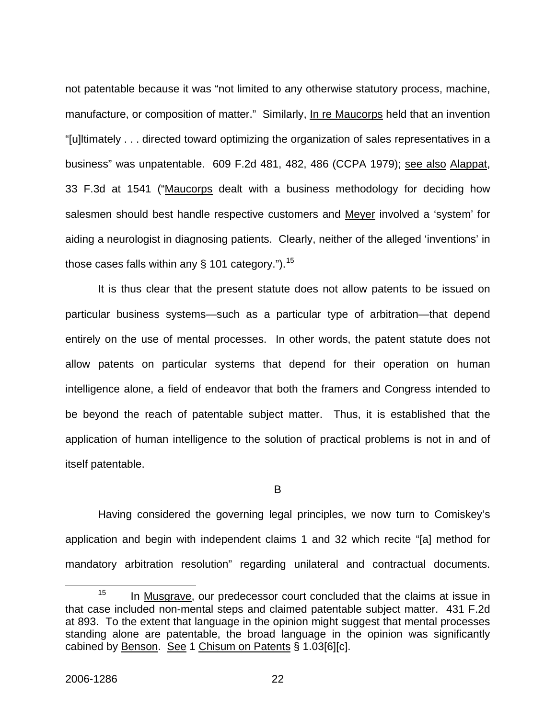not patentable because it was "not limited to any otherwise statutory process, machine, manufacture, or composition of matter." Similarly, In re Maucorps held that an invention "[u]ltimately . . . directed toward optimizing the organization of sales representatives in a business" was unpatentable. 609 F.2d 481, 482, 486 (CCPA 1979); see also Alappat, 33 F.3d at 1541 ("Maucorps dealt with a business methodology for deciding how salesmen should best handle respective customers and Meyer involved a 'system' for aiding a neurologist in diagnosing patients. Clearly, neither of the alleged 'inventions' in those cases falls within any  $\S$  101 category.").<sup>[15](#page-22-0)</sup>

It is thus clear that the present statute does not allow patents to be issued on particular business systems—such as a particular type of arbitration—that depend entirely on the use of mental processes. In other words, the patent statute does not allow patents on particular systems that depend for their operation on human intelligence alone, a field of endeavor that both the framers and Congress intended to be beyond the reach of patentable subject matter. Thus, it is established that the application of human intelligence to the solution of practical problems is not in and of itself patentable.

B

 Having considered the governing legal principles, we now turn to Comiskey's application and begin with independent claims 1 and 32 which recite "[a] method for mandatory arbitration resolution" regarding unilateral and contractual documents.

<span id="page-22-0"></span> $15$  In Musgrave, our predecessor court concluded that the claims at issue in that case included non-mental steps and claimed patentable subject matter. 431 F.2d at 893. To the extent that language in the opinion might suggest that mental processes standing alone are patentable, the broad language in the opinion was significantly cabined by Benson. See 1 Chisum on Patents § 1.03[6][c].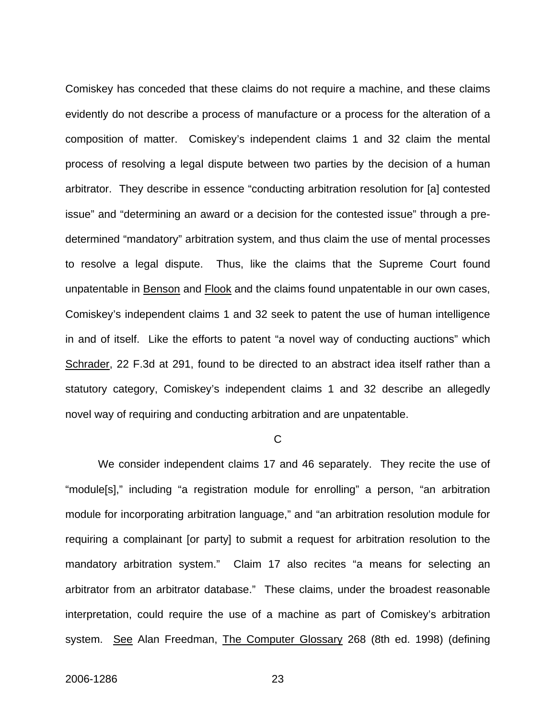Comiskey has conceded that these claims do not require a machine, and these claims evidently do not describe a process of manufacture or a process for the alteration of a composition of matter. Comiskey's independent claims 1 and 32 claim the mental process of resolving a legal dispute between two parties by the decision of a human arbitrator. They describe in essence "conducting arbitration resolution for [a] contested issue" and "determining an award or a decision for the contested issue" through a predetermined "mandatory" arbitration system, and thus claim the use of mental processes to resolve a legal dispute. Thus, like the claims that the Supreme Court found unpatentable in Benson and Flook and the claims found unpatentable in our own cases, Comiskey's independent claims 1 and 32 seek to patent the use of human intelligence in and of itself. Like the efforts to patent "a novel way of conducting auctions" which Schrader, 22 F.3d at 291, found to be directed to an abstract idea itself rather than a statutory category, Comiskey's independent claims 1 and 32 describe an allegedly novel way of requiring and conducting arbitration and are unpatentable.

#### C

We consider independent claims 17 and 46 separately. They recite the use of "module[s]," including "a registration module for enrolling" a person, "an arbitration module for incorporating arbitration language," and "an arbitration resolution module for requiring a complainant [or party] to submit a request for arbitration resolution to the mandatory arbitration system." Claim 17 also recites "a means for selecting an arbitrator from an arbitrator database." These claims, under the broadest reasonable interpretation, could require the use of a machine as part of Comiskey's arbitration system. See Alan Freedman, The Computer Glossary 268 (8th ed. 1998) (defining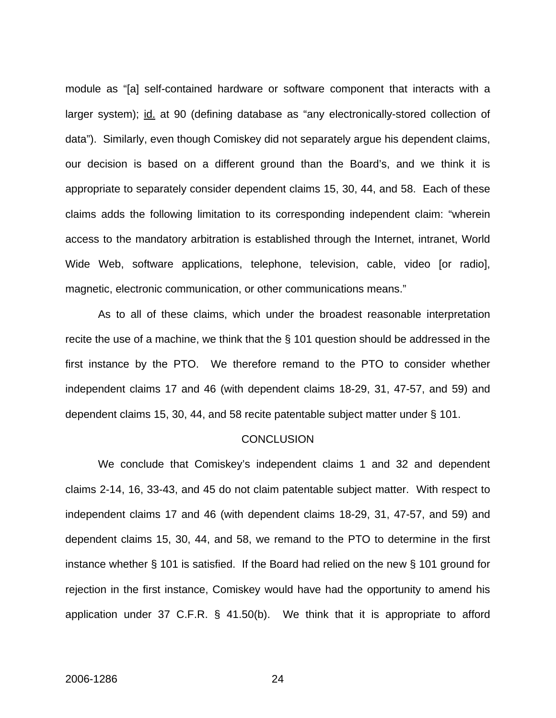module as "[a] self-contained hardware or software component that interacts with a larger system); id. at 90 (defining database as "any electronically-stored collection of data"). Similarly, even though Comiskey did not separately argue his dependent claims, our decision is based on a different ground than the Board's, and we think it is appropriate to separately consider dependent claims 15, 30, 44, and 58. Each of these claims adds the following limitation to its corresponding independent claim: "wherein access to the mandatory arbitration is established through the Internet, intranet, World Wide Web, software applications, telephone, television, cable, video [or radio], magnetic, electronic communication, or other communications means."

As to all of these claims, which under the broadest reasonable interpretation recite the use of a machine, we think that the § 101 question should be addressed in the first instance by the PTO. We therefore remand to the PTO to consider whether independent claims 17 and 46 (with dependent claims 18-29, 31, 47-57, and 59) and dependent claims 15, 30, 44, and 58 recite patentable subject matter under § 101.

#### **CONCLUSION**

 We conclude that Comiskey's independent claims 1 and 32 and dependent claims 2-14, 16, 33-43, and 45 do not claim patentable subject matter. With respect to independent claims 17 and 46 (with dependent claims 18-29, 31, 47-57, and 59) and dependent claims 15, 30, 44, and 58, we remand to the PTO to determine in the first instance whether § 101 is satisfied. If the Board had relied on the new § 101 ground for rejection in the first instance, Comiskey would have had the opportunity to amend his application under 37 C.F.R. § 41.50(b). We think that it is appropriate to afford